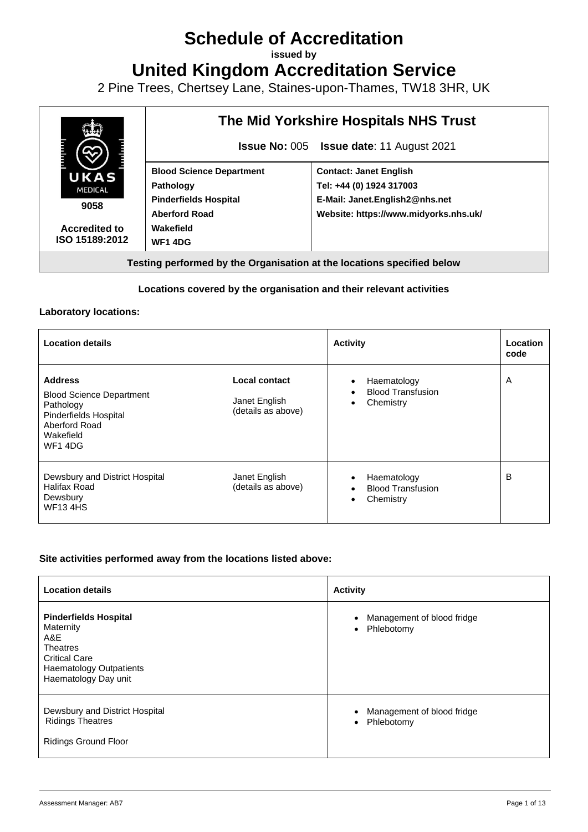# **Schedule of Accreditation**

**issued by**

**United Kingdom Accreditation Service**

2 Pine Trees, Chertsey Lane, Staines-upon-Thames, TW18 3HR, UK



### **Locations covered by the organisation and their relevant activities**

#### **Laboratory locations:**

| <b>Location details</b>                                                                                                          |                                                      | <b>Activity</b>                                                   | Location<br>code |
|----------------------------------------------------------------------------------------------------------------------------------|------------------------------------------------------|-------------------------------------------------------------------|------------------|
| <b>Address</b><br><b>Blood Science Department</b><br>Pathology<br>Pinderfields Hospital<br>Aberford Road<br>Wakefield<br>WF1 4DG | Local contact<br>Janet English<br>(details as above) | Haematology<br><b>Blood Transfusion</b><br>Chemistry<br>٠         | A                |
| Dewsbury and District Hospital<br>Halifax Road<br>Dewsbury<br><b>WF134HS</b>                                                     | Janet English<br>(details as above)                  | Haematology<br><b>Blood Transfusion</b><br>Chemistry<br>$\bullet$ | B                |

#### **Site activities performed away from the locations listed above:**

| <b>Location details</b>                                                                                                                               | <b>Activity</b>                                                    |
|-------------------------------------------------------------------------------------------------------------------------------------------------------|--------------------------------------------------------------------|
| <b>Pinderfields Hospital</b><br>Maternity<br>A&E<br><b>Theatres</b><br><b>Critical Care</b><br><b>Haematology Outpatients</b><br>Haematology Day unit | Management of blood fridge<br>$\bullet$<br>Phlebotomy<br>$\bullet$ |
| Dewsbury and District Hospital<br><b>Ridings Theatres</b><br><b>Ridings Ground Floor</b>                                                              | Management of blood fridge<br>$\bullet$<br>Phlebotomy<br>$\bullet$ |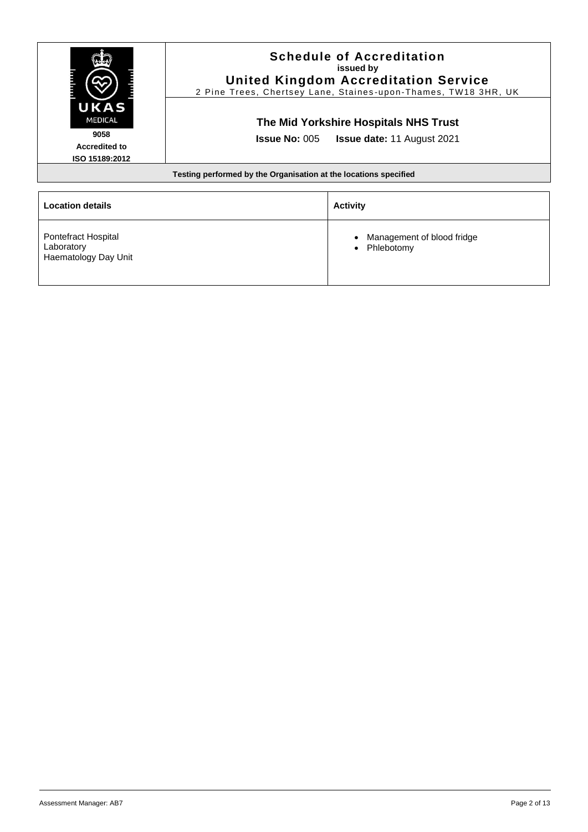|                                                                          |  | <b>Schedule of Accreditation</b><br>issued by<br><b>United Kingdom Accreditation Service</b><br>2 Pine Trees, Chertsey Lane, Staines-upon-Thames, TW18 3HR, UK |
|--------------------------------------------------------------------------|--|----------------------------------------------------------------------------------------------------------------------------------------------------------------|
| UKAS<br><b>MEDICAL</b><br>9058<br><b>Accredited to</b><br>ISO 15189:2012 |  | The Mid Yorkshire Hospitals NHS Trust<br><b>Issue No: 005 Issue date: 11 August 2021</b>                                                                       |
| Testing performed by the Organisation at the locations specified         |  |                                                                                                                                                                |
| <b>Location details</b>                                                  |  | <b>Activity</b>                                                                                                                                                |

• Management of blood fridge

• Phlebotomy

| Pontefract Hospital  |
|----------------------|
| Laboratory           |
| Haematology Day Unit |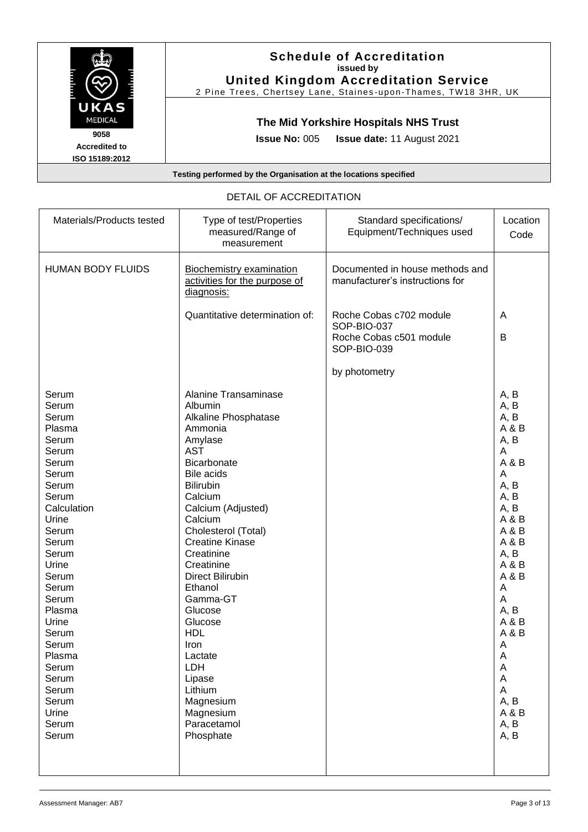

| PLIAIL OF ACCILEPHATION                                                                                                                                                                                                                                                             |                                                                                                                                                                                                                                                                                                                                                                                                                                                                          |                                                                                  |                                                                                                                                                                                                                         |
|-------------------------------------------------------------------------------------------------------------------------------------------------------------------------------------------------------------------------------------------------------------------------------------|--------------------------------------------------------------------------------------------------------------------------------------------------------------------------------------------------------------------------------------------------------------------------------------------------------------------------------------------------------------------------------------------------------------------------------------------------------------------------|----------------------------------------------------------------------------------|-------------------------------------------------------------------------------------------------------------------------------------------------------------------------------------------------------------------------|
| Materials/Products tested                                                                                                                                                                                                                                                           | Type of test/Properties<br>measured/Range of<br>measurement                                                                                                                                                                                                                                                                                                                                                                                                              | Standard specifications/<br>Equipment/Techniques used                            | Location<br>Code                                                                                                                                                                                                        |
| <b>HUMAN BODY FLUIDS</b>                                                                                                                                                                                                                                                            | <b>Biochemistry examination</b><br>activities for the purpose of<br>diagnosis:                                                                                                                                                                                                                                                                                                                                                                                           | Documented in house methods and<br>manufacturer's instructions for               |                                                                                                                                                                                                                         |
|                                                                                                                                                                                                                                                                                     | Quantitative determination of:                                                                                                                                                                                                                                                                                                                                                                                                                                           | Roche Cobas c702 module<br>SOP-BIO-037<br>Roche Cobas c501 module<br>SOP-BIO-039 | A<br>B                                                                                                                                                                                                                  |
|                                                                                                                                                                                                                                                                                     |                                                                                                                                                                                                                                                                                                                                                                                                                                                                          | by photometry                                                                    |                                                                                                                                                                                                                         |
| Serum<br>Serum<br>Serum<br>Plasma<br>Serum<br>Serum<br>Serum<br>Serum<br>Serum<br>Serum<br>Calculation<br>Urine<br>Serum<br>Serum<br>Serum<br>Urine<br>Serum<br>Serum<br>Serum<br>Plasma<br>Urine<br>Serum<br>Serum<br>Plasma<br>Serum<br>Serum<br>Serum<br>Serum<br>Urine<br>Serum | <b>Alanine Transaminase</b><br>Albumin<br>Alkaline Phosphatase<br>Ammonia<br>Amylase<br><b>AST</b><br><b>Bicarbonate</b><br><b>Bile acids</b><br><b>Bilirubin</b><br>Calcium<br>Calcium (Adjusted)<br>Calcium<br>Cholesterol (Total)<br><b>Creatine Kinase</b><br>Creatinine<br>Creatinine<br><b>Direct Bilirubin</b><br>Ethanol<br>Gamma-GT<br>Glucose<br>Glucose<br><b>HDL</b><br>Iron<br>Lactate<br>LDH<br>Lipase<br>Lithium<br>Magnesium<br>Magnesium<br>Paracetamol |                                                                                  | A, B<br>A, B<br>A, B<br>A & B<br>A, B<br>A<br>A & B<br>A<br>A, B<br>A, B<br>A, B<br>A & B<br>A & B<br>A & B<br>A, B<br>A & B<br>A & B<br>A<br>A<br>A, B<br>A&B<br>A & B<br>A<br>A<br>A<br>A<br>A<br>A, B<br>A&B<br>A, B |
| Serum                                                                                                                                                                                                                                                                               | Phosphate                                                                                                                                                                                                                                                                                                                                                                                                                                                                |                                                                                  | A, B                                                                                                                                                                                                                    |

## DETAIL OF ACCREDITATION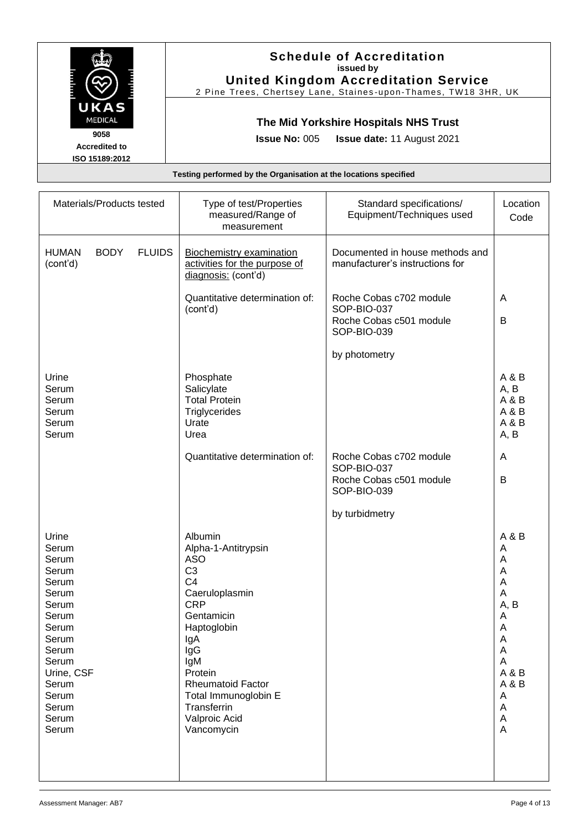|                                                | <b>Schedule of Accreditation</b><br>issued by<br><b>United Kingdom Accreditation Service</b><br>2 Pine Trees, Chertsey Lane, Staines-upon-Thames, TW18 3HR, UK |
|------------------------------------------------|----------------------------------------------------------------------------------------------------------------------------------------------------------------|
| UKAS<br><b>MEDICAL</b>                         | The Mid Yorkshire Hospitals NHS Trust                                                                                                                          |
| 9058<br><b>Accredited to</b><br>ISO 15189:2012 | <b>Issue No: 005 Issue date: 11 August 2021</b>                                                                                                                |
|                                                | Testing performed by the Organisation at the locations specified                                                                                               |

| Materials/Products tested                                                                                                                                           |               | Type of test/Properties<br>measured/Range of<br>measurement                                                                                                                                                                                                                     | Standard specifications/<br>Equipment/Techniques used                            | Location<br>Code                                                                                      |
|---------------------------------------------------------------------------------------------------------------------------------------------------------------------|---------------|---------------------------------------------------------------------------------------------------------------------------------------------------------------------------------------------------------------------------------------------------------------------------------|----------------------------------------------------------------------------------|-------------------------------------------------------------------------------------------------------|
| <b>BODY</b><br><b>HUMAN</b><br>(cont'd)                                                                                                                             | <b>FLUIDS</b> | <b>Biochemistry examination</b><br>activities for the purpose of<br>diagnosis: (cont'd)                                                                                                                                                                                         | Documented in house methods and<br>manufacturer's instructions for               |                                                                                                       |
|                                                                                                                                                                     |               | Quantitative determination of:<br>(cont'd)                                                                                                                                                                                                                                      | Roche Cobas c702 module<br>SOP-BIO-037<br>Roche Cobas c501 module<br>SOP-BIO-039 | A<br>B                                                                                                |
|                                                                                                                                                                     |               |                                                                                                                                                                                                                                                                                 | by photometry                                                                    |                                                                                                       |
| Urine<br>Serum<br>Serum<br>Serum<br>Serum<br>Serum                                                                                                                  |               | Phosphate<br>Salicylate<br><b>Total Protein</b><br>Triglycerides<br>Urate<br>Urea                                                                                                                                                                                               |                                                                                  | A & B<br>A, B<br>A&B<br>A & B<br>A & B<br>A, B                                                        |
|                                                                                                                                                                     |               | Quantitative determination of:                                                                                                                                                                                                                                                  | Roche Cobas c702 module<br>SOP-BIO-037<br>Roche Cobas c501 module<br>SOP-BIO-039 | A<br>B                                                                                                |
|                                                                                                                                                                     |               |                                                                                                                                                                                                                                                                                 | by turbidmetry                                                                   |                                                                                                       |
| Urine<br>Serum<br>Serum<br>Serum<br>Serum<br>Serum<br>Serum<br>Serum<br>Serum<br>Serum<br>Serum<br>Serum<br>Urine, CSF<br>Serum<br>Serum<br>Serum<br>Serum<br>Serum |               | Albumin<br>Alpha-1-Antitrypsin<br><b>ASO</b><br>C <sub>3</sub><br>C <sub>4</sub><br>Caeruloplasmin<br><b>CRP</b><br>Gentamicin<br>Haptoglobin<br>lgA<br>IgG<br>IgM<br>Protein<br><b>Rheumatoid Factor</b><br>Total Immunoglobin E<br>Transferrin<br>Valproic Acid<br>Vancomycin |                                                                                  | A & B<br>A<br>A<br>A<br>A<br>A<br>A, B<br>A<br>A<br>Α<br>A<br>A<br>A & B<br>A & B<br>A<br>A<br>A<br>A |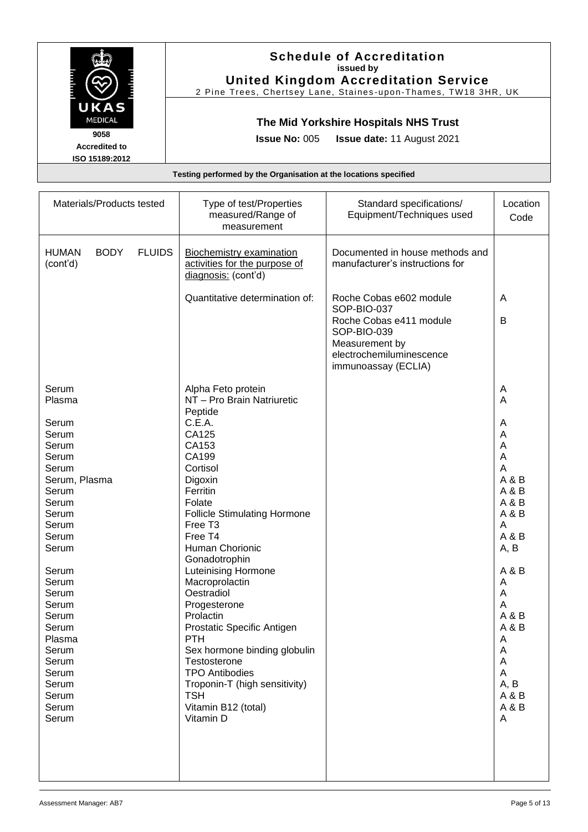|                                                | <b>Schedule of Accreditation</b><br>issued by<br><b>United Kingdom Accreditation Service</b><br>2 Pine Trees, Chertsey Lane, Staines-upon-Thames, TW18 3HR, UK |
|------------------------------------------------|----------------------------------------------------------------------------------------------------------------------------------------------------------------|
| UKAS<br><b>MEDICAL</b>                         | The Mid Yorkshire Hospitals NHS Trust                                                                                                                          |
| 9058<br><b>Accredited to</b><br>ISO 15189:2012 | <b>Issue No: 005</b><br><b>Issue date: 11 August 2021</b>                                                                                                      |
|                                                | Testing performed by the Organisation at the locations specified                                                                                               |

| Materials/Products tested                                                                                                                                                        | Type of test/Properties<br>measured/Range of<br>measurement                                                                                                                                                                                                                                                                                              | Standard specifications/<br>Equipment/Techniques used                                                                                                 | Location<br>Code                                                                                                             |
|----------------------------------------------------------------------------------------------------------------------------------------------------------------------------------|----------------------------------------------------------------------------------------------------------------------------------------------------------------------------------------------------------------------------------------------------------------------------------------------------------------------------------------------------------|-------------------------------------------------------------------------------------------------------------------------------------------------------|------------------------------------------------------------------------------------------------------------------------------|
| <b>BODY</b><br><b>FLUIDS</b><br><b>HUMAN</b><br>(cont'd)                                                                                                                         | <b>Biochemistry examination</b><br>activities for the purpose of<br>diagnosis: (cont'd)                                                                                                                                                                                                                                                                  | Documented in house methods and<br>manufacturer's instructions for                                                                                    |                                                                                                                              |
|                                                                                                                                                                                  | Quantitative determination of:                                                                                                                                                                                                                                                                                                                           | Roche Cobas e602 module<br>SOP-BIO-037<br>Roche Cobas e411 module<br>SOP-BIO-039<br>Measurement by<br>electrochemiluminescence<br>immunoassay (ECLIA) | Α<br>B                                                                                                                       |
| Serum<br>Plasma<br>Serum                                                                                                                                                         | Alpha Feto protein<br>NT - Pro Brain Natriuretic<br>Peptide<br>C.E.A.                                                                                                                                                                                                                                                                                    |                                                                                                                                                       | A<br>A<br>A                                                                                                                  |
| Serum<br>Serum<br>Serum<br>Serum<br>Serum, Plasma<br>Serum<br>Serum<br>Serum<br>Serum<br>Serum<br>Serum<br>Serum<br>Serum<br>Serum<br>Serum<br>Serum<br>Serum<br>Plasma<br>Serum | CA125<br>CA153<br>CA199<br>Cortisol<br>Digoxin<br>Ferritin<br>Folate<br><b>Follicle Stimulating Hormone</b><br>Free T <sub>3</sub><br>Free T4<br>Human Chorionic<br>Gonadotrophin<br><b>Luteinising Hormone</b><br>Macroprolactin<br>Oestradiol<br>Progesterone<br>Prolactin<br>Prostatic Specific Antigen<br><b>PTH</b><br>Sex hormone binding globulin |                                                                                                                                                       | A<br>A<br>A<br>A<br>A & B<br>A & B<br>A & B<br>A & B<br>A<br>A & B<br>A, B<br>A & B<br>Α<br>A<br>A<br>A&B<br>A & B<br>Α<br>A |
| Serum<br>Serum<br>Serum<br>Serum<br>Serum<br>Serum                                                                                                                               | Testosterone<br><b>TPO Antibodies</b><br>Troponin-T (high sensitivity)<br><b>TSH</b><br>Vitamin B12 (total)<br>Vitamin D                                                                                                                                                                                                                                 |                                                                                                                                                       | A<br>A<br>A, B<br>A & B<br>A&B<br>A                                                                                          |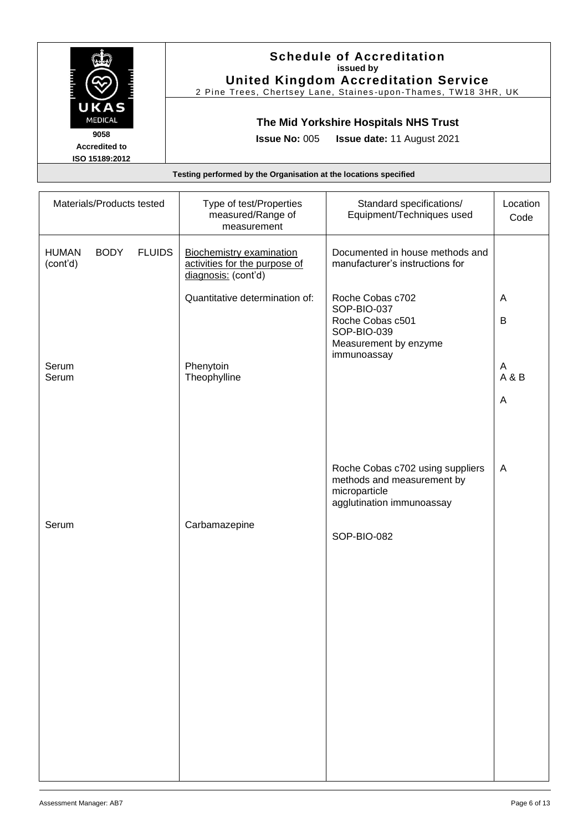|                                                | <b>Schedule of Accreditation</b><br>issued by<br><b>United Kingdom Accreditation Service</b><br>2 Pine Trees, Chertsey Lane, Staines-upon-Thames, TW18 3HR, UK |
|------------------------------------------------|----------------------------------------------------------------------------------------------------------------------------------------------------------------|
| UKAS<br><b>MEDICAL</b>                         | The Mid Yorkshire Hospitals NHS Trust                                                                                                                          |
| 9058<br><b>Accredited to</b><br>ISO 15189:2012 | <b>Issue No: 005</b><br><b>Issue date: 11 August 2021</b>                                                                                                      |
|                                                | Testing performed by the Organisation at the locations specified                                                                                               |

| Materials/Products tested               |               | Type of test/Properties<br>measured/Range of<br>measurement                             | Standard specifications/<br>Equipment/Techniques used                                                        | Location<br>Code |
|-----------------------------------------|---------------|-----------------------------------------------------------------------------------------|--------------------------------------------------------------------------------------------------------------|------------------|
| <b>HUMAN</b><br><b>BODY</b><br>(cont'd) | <b>FLUIDS</b> | <b>Biochemistry examination</b><br>activities for the purpose of<br>diagnosis: (cont'd) | Documented in house methods and<br>manufacturer's instructions for                                           |                  |
|                                         |               | Quantitative determination of:                                                          | Roche Cobas c702<br>SOP-BIO-037<br>Roche Cobas c501<br>SOP-BIO-039<br>Measurement by enzyme<br>immunoassay   | A<br>B           |
| Serum<br>Serum                          |               | Phenytoin<br>Theophylline                                                               |                                                                                                              | A<br>A & B       |
|                                         |               |                                                                                         |                                                                                                              | A                |
|                                         |               |                                                                                         |                                                                                                              |                  |
|                                         |               |                                                                                         | Roche Cobas c702 using suppliers<br>methods and measurement by<br>microparticle<br>agglutination immunoassay | A                |
| Serum                                   |               | Carbamazepine                                                                           | SOP-BIO-082                                                                                                  |                  |
|                                         |               |                                                                                         |                                                                                                              |                  |
|                                         |               |                                                                                         |                                                                                                              |                  |
|                                         |               |                                                                                         |                                                                                                              |                  |
|                                         |               |                                                                                         |                                                                                                              |                  |
|                                         |               |                                                                                         |                                                                                                              |                  |
|                                         |               |                                                                                         |                                                                                                              |                  |
|                                         |               |                                                                                         |                                                                                                              |                  |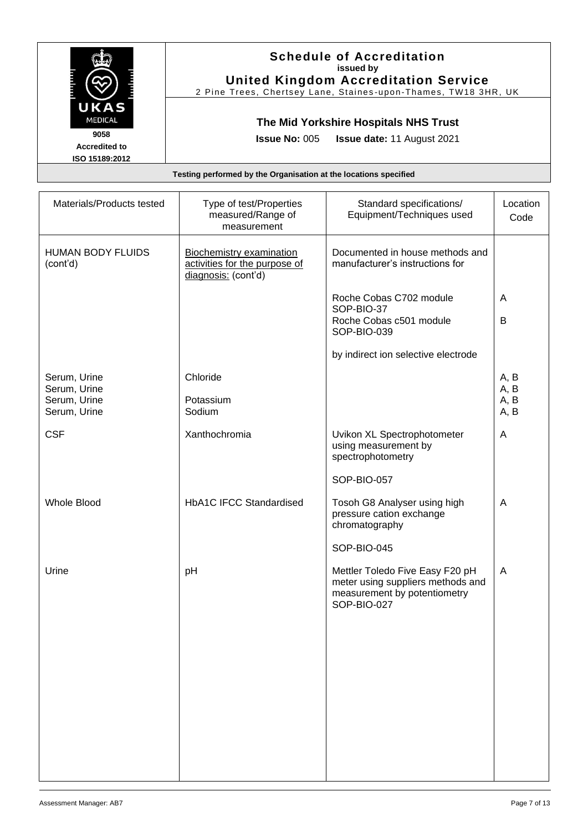|                                                                  | <b>Schedule of Accreditation</b><br>issued by<br><b>United Kingdom Accreditation Service</b><br>2 Pine Trees, Chertsey Lane, Staines-upon-Thames, TW18 3HR, UK |  |
|------------------------------------------------------------------|----------------------------------------------------------------------------------------------------------------------------------------------------------------|--|
| UKAS<br><b>MEDICAL</b>                                           | The Mid Yorkshire Hospitals NHS Trust                                                                                                                          |  |
| 9058<br><b>Accredited to</b><br>ISO 15189:2012                   | <b>Issue No: 005 Issue date: 11 August 2021</b>                                                                                                                |  |
| Testing performed by the Organisation at the locations specified |                                                                                                                                                                |  |

| Materials/Products tested                                    | Type of test/Properties<br>measured/Range of<br>measurement                             | Standard specifications/<br>Equipment/Techniques used                                                               | Location<br>Code             |
|--------------------------------------------------------------|-----------------------------------------------------------------------------------------|---------------------------------------------------------------------------------------------------------------------|------------------------------|
| <b>HUMAN BODY FLUIDS</b><br>(cont'd)                         | <b>Biochemistry examination</b><br>activities for the purpose of<br>diagnosis: (cont'd) | Documented in house methods and<br>manufacturer's instructions for                                                  |                              |
|                                                              |                                                                                         | Roche Cobas C702 module<br>SOP-BIO-37<br>Roche Cobas c501 module<br>SOP-BIO-039                                     | A<br>B                       |
|                                                              |                                                                                         | by indirect ion selective electrode                                                                                 |                              |
| Serum, Urine<br>Serum, Urine<br>Serum, Urine<br>Serum, Urine | Chloride<br>Potassium<br>Sodium                                                         |                                                                                                                     | A, B<br>A, B<br>A, B<br>A, B |
| <b>CSF</b>                                                   | Xanthochromia                                                                           | Uvikon XL Spectrophotometer<br>using measurement by<br>spectrophotometry                                            | A                            |
|                                                              |                                                                                         | SOP-BIO-057                                                                                                         |                              |
| <b>Whole Blood</b>                                           | <b>HbA1C IFCC Standardised</b>                                                          | Tosoh G8 Analyser using high<br>pressure cation exchange<br>chromatography                                          | A                            |
|                                                              |                                                                                         | SOP-BIO-045                                                                                                         |                              |
| Urine                                                        | pH                                                                                      | Mettler Toledo Five Easy F20 pH<br>meter using suppliers methods and<br>measurement by potentiometry<br>SOP-BIO-027 | A                            |
|                                                              |                                                                                         |                                                                                                                     |                              |
|                                                              |                                                                                         |                                                                                                                     |                              |
|                                                              |                                                                                         |                                                                                                                     |                              |
|                                                              |                                                                                         |                                                                                                                     |                              |
|                                                              |                                                                                         |                                                                                                                     |                              |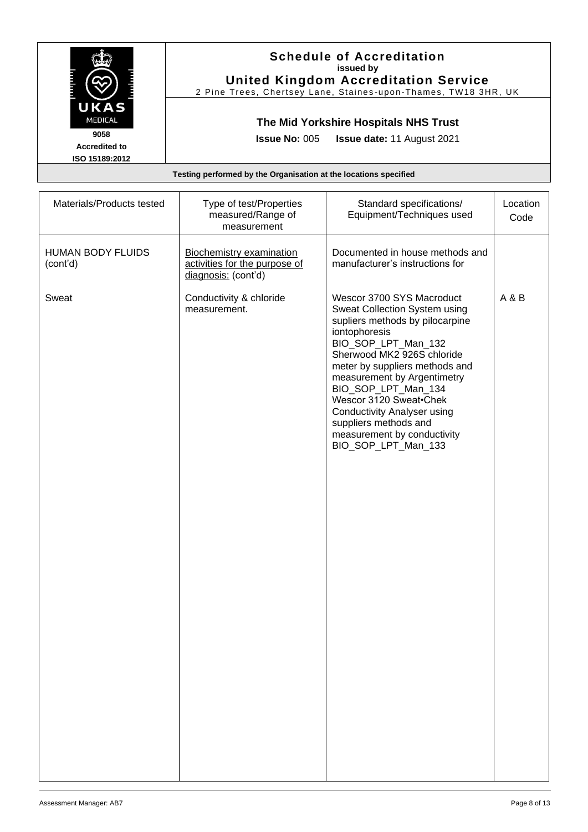|                                                                  | <b>Schedule of Accreditation</b><br>issued by<br><b>United Kingdom Accreditation Service</b><br>2 Pine Trees, Chertsey Lane, Staines-upon-Thames, TW18 3HR, UK |
|------------------------------------------------------------------|----------------------------------------------------------------------------------------------------------------------------------------------------------------|
| UKAS<br><b>MEDICAL</b>                                           | The Mid Yorkshire Hospitals NHS Trust                                                                                                                          |
| 9058<br><b>Accredited to</b><br>ISO 15189:2012                   | <b>Issue No: 005 Issue date: 11 August 2021</b>                                                                                                                |
| Testing performed by the Organisation at the locations specified |                                                                                                                                                                |

| <b>HUMAN BODY FLUIDS</b><br>Documented in house methods and<br>Biochemistry examination<br>activities for the purpose of<br>manufacturer's instructions for<br>(cont'd)<br>diagnosis: (cont'd)<br>Sweat<br>Conductivity & chloride<br>Wescor 3700 SYS Macroduct<br>A & B<br>Sweat Collection System using<br>measurement.<br>supliers methods by pilocarpine<br>iontophoresis<br>BIO_SOP_LPT_Man_132<br>Sherwood MK2 926S chloride<br>meter by suppliers methods and<br>measurement by Argentimetry<br>BIO_SOP_LPT_Man_134<br>Wescor 3120 Sweat.Chek<br><b>Conductivity Analyser using</b> | Materials/Products tested | Type of test/Properties<br>measured/Range of<br>measurement | Standard specifications/<br>Equipment/Techniques used | Location<br>Code |
|--------------------------------------------------------------------------------------------------------------------------------------------------------------------------------------------------------------------------------------------------------------------------------------------------------------------------------------------------------------------------------------------------------------------------------------------------------------------------------------------------------------------------------------------------------------------------------------------|---------------------------|-------------------------------------------------------------|-------------------------------------------------------|------------------|
|                                                                                                                                                                                                                                                                                                                                                                                                                                                                                                                                                                                            |                           |                                                             |                                                       |                  |
| measurement by conductivity<br>BIO_SOP_LPT_Man_133                                                                                                                                                                                                                                                                                                                                                                                                                                                                                                                                         |                           |                                                             | suppliers methods and                                 |                  |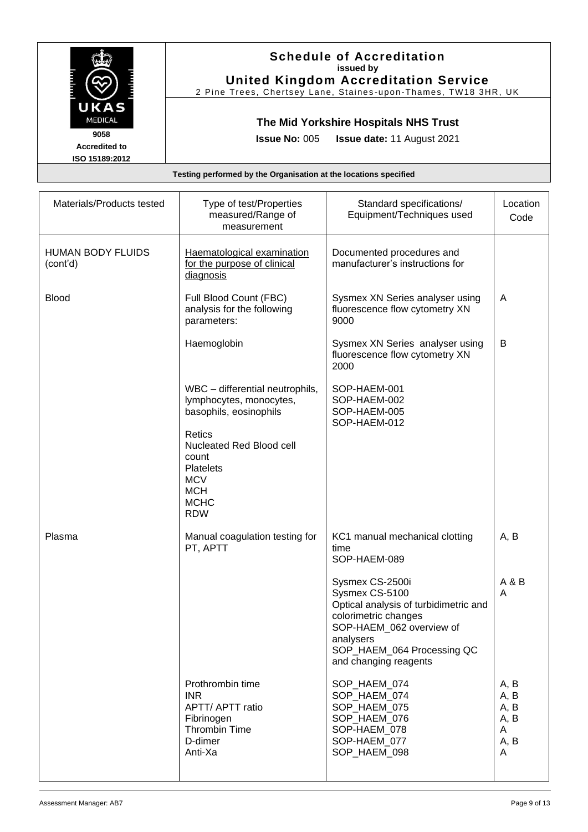|                                                                  | <b>Schedule of Accreditation</b><br>issued by<br><b>United Kingdom Accreditation Service</b><br>2 Pine Trees, Chertsey Lane, Staines-upon-Thames, TW18 3HR, UK |
|------------------------------------------------------------------|----------------------------------------------------------------------------------------------------------------------------------------------------------------|
| UKAS<br><b>MEDICAL</b>                                           | The Mid Yorkshire Hospitals NHS Trust                                                                                                                          |
| 9058<br><b>Accredited to</b><br>ISO 15189:2012                   | <b>Issue No: 005 Issue date: 11 August 2021</b>                                                                                                                |
| Testing performed by the Organisation at the locations specified |                                                                                                                                                                |

| Materials/Products tested            | Type of test/Properties<br>measured/Range of<br>measurement                                                              | Standard specifications/<br>Equipment/Techniques used                                                                                                                                              | Location<br>Code                               |
|--------------------------------------|--------------------------------------------------------------------------------------------------------------------------|----------------------------------------------------------------------------------------------------------------------------------------------------------------------------------------------------|------------------------------------------------|
| <b>HUMAN BODY FLUIDS</b><br>(cont'd) | Haematological examination<br>for the purpose of clinical<br>diagnosis                                                   | Documented procedures and<br>manufacturer's instructions for                                                                                                                                       |                                                |
| <b>Blood</b>                         | Full Blood Count (FBC)<br>analysis for the following<br>parameters:                                                      | Sysmex XN Series analyser using<br>fluorescence flow cytometry XN<br>9000                                                                                                                          | A                                              |
|                                      | Haemoglobin                                                                                                              | Sysmex XN Series analyser using<br>fluorescence flow cytometry XN<br>2000                                                                                                                          | B                                              |
|                                      | WBC - differential neutrophils,<br>lymphocytes, monocytes,<br>basophils, eosinophils                                     | SOP-HAEM-001<br>SOP-HAEM-002<br>SOP-HAEM-005<br>SOP-HAEM-012                                                                                                                                       |                                                |
|                                      | Retics<br>Nucleated Red Blood cell<br>count<br><b>Platelets</b><br><b>MCV</b><br><b>MCH</b><br><b>MCHC</b><br><b>RDW</b> |                                                                                                                                                                                                    |                                                |
| Plasma                               | Manual coagulation testing for<br>PT, APTT                                                                               | KC1 manual mechanical clotting<br>time<br>SOP-HAEM-089                                                                                                                                             | A, B                                           |
|                                      |                                                                                                                          | Sysmex CS-2500i<br>Sysmex CS-5100<br>Optical analysis of turbidimetric and<br>colorimetric changes<br>SOP-HAEM 062 overview of<br>analysers<br>SOP_HAEM_064 Processing QC<br>and changing reagents | A & B<br>A                                     |
|                                      | Prothrombin time<br><b>INR</b><br>APTT/ APTT ratio<br>Fibrinogen<br><b>Thrombin Time</b><br>D-dimer<br>Anti-Xa           | SOP_HAEM_074<br>SOP_HAEM_074<br>SOP_HAEM_075<br>SOP HAEM 076<br>SOP-HAEM_078<br>SOP-HAEM 077<br>SOP_HAEM_098                                                                                       | A, B<br>A, B<br>A, B<br>A, B<br>A<br>A, B<br>A |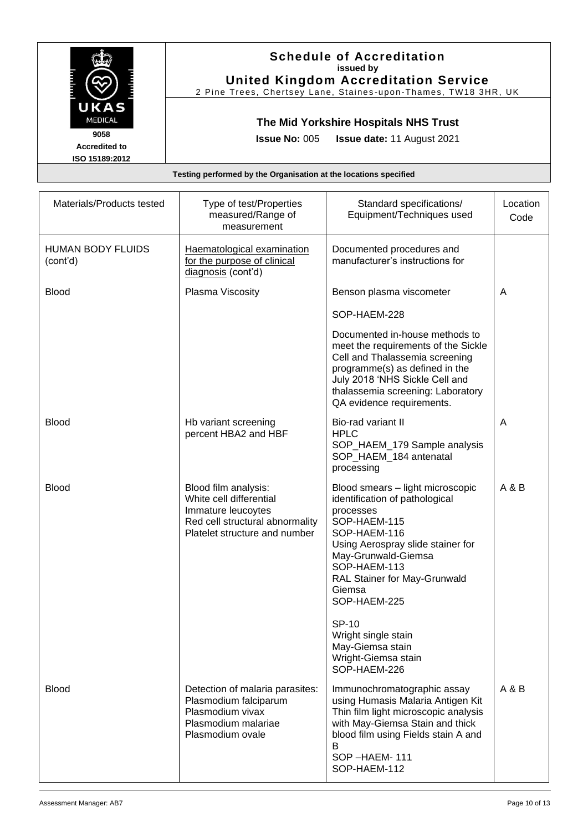|                                                                  | <b>Schedule of Accreditation</b><br>issued by<br><b>United Kingdom Accreditation Service</b><br>2 Pine Trees, Chertsey Lane, Staines-upon-Thames, TW18 3HR, UK |
|------------------------------------------------------------------|----------------------------------------------------------------------------------------------------------------------------------------------------------------|
| UKAS<br><b>MEDICAL</b>                                           | The Mid Yorkshire Hospitals NHS Trust                                                                                                                          |
| 9058<br><b>Accredited to</b><br>ISO 15189:2012                   | <b>Issue No: 005 Issue date: 11 August 2021</b>                                                                                                                |
| Testing performed by the Organisation at the locations specified |                                                                                                                                                                |

| Materials/Products tested            | Type of test/Properties<br>measured/Range of<br>measurement                                                                               | Standard specifications/<br>Equipment/Techniques used                                                                                                                                                                                                 | Location<br>Code |
|--------------------------------------|-------------------------------------------------------------------------------------------------------------------------------------------|-------------------------------------------------------------------------------------------------------------------------------------------------------------------------------------------------------------------------------------------------------|------------------|
| <b>HUMAN BODY FLUIDS</b><br>(cont'd) | Haematological examination<br>for the purpose of clinical<br>diagnosis (cont'd)                                                           | Documented procedures and<br>manufacturer's instructions for                                                                                                                                                                                          |                  |
| <b>Blood</b>                         | Plasma Viscosity                                                                                                                          | Benson plasma viscometer                                                                                                                                                                                                                              | A                |
|                                      |                                                                                                                                           | SOP-HAEM-228                                                                                                                                                                                                                                          |                  |
|                                      |                                                                                                                                           | Documented in-house methods to<br>meet the requirements of the Sickle<br>Cell and Thalassemia screening<br>programme(s) as defined in the<br>July 2018 'NHS Sickle Cell and<br>thalassemia screening: Laboratory<br>QA evidence requirements.         |                  |
| <b>Blood</b>                         | Hb variant screening<br>percent HBA2 and HBF                                                                                              | Bio-rad variant II<br><b>HPLC</b><br>SOP_HAEM_179 Sample analysis<br>SOP HAEM 184 antenatal<br>processing                                                                                                                                             | A                |
| <b>Blood</b>                         | Blood film analysis:<br>White cell differential<br>Immature leucoytes<br>Red cell structural abnormality<br>Platelet structure and number | Blood smears - light microscopic<br>identification of pathological<br>processes<br>SOP-HAEM-115<br>SOP-HAEM-116<br>Using Aerospray slide stainer for<br>May-Grunwald-Giemsa<br>SOP-HAEM-113<br>RAL Stainer for May-Grunwald<br>Giemsa<br>SOP-HAEM-225 | A & B            |
|                                      |                                                                                                                                           | SP-10<br>Wright single stain<br>May-Giemsa stain<br>Wright-Giemsa stain<br>SOP-HAEM-226                                                                                                                                                               |                  |
| <b>Blood</b>                         | Detection of malaria parasites:<br>Plasmodium falciparum<br>Plasmodium vivax<br>Plasmodium malariae<br>Plasmodium ovale                   | Immunochromatographic assay<br>using Humasis Malaria Antigen Kit<br>Thin film light microscopic analysis<br>with May-Giemsa Stain and thick<br>blood film using Fields stain A and<br>B<br>SOP-HAEM-111<br>SOP-HAEM-112                               | A & B            |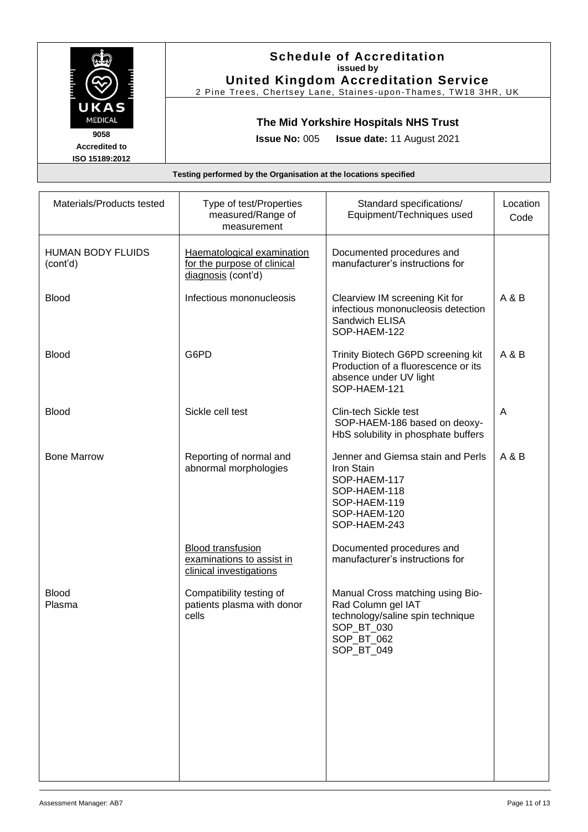|                                                | <b>Schedule of Accreditation</b><br>issued by<br><b>United Kingdom Accreditation Service</b><br>2 Pine Trees, Chertsey Lane, Staines-upon-Thames, TW18 3HR, UK |
|------------------------------------------------|----------------------------------------------------------------------------------------------------------------------------------------------------------------|
| UKAS<br><b>MEDICAL</b>                         | The Mid Yorkshire Hospitals NHS Trust                                                                                                                          |
| 9058<br><b>Accredited to</b><br>ISO 15189:2012 | <b>Issue No: 005 Issue date: 11 August 2021</b>                                                                                                                |
|                                                | Testing performed by the Organisation at the locations specified                                                                                               |

| Materials/Products tested            | Type of test/Properties<br>measured/Range of<br>measurement                      | Standard specifications/<br>Equipment/Techniques used                                                                                | Location<br>Code |
|--------------------------------------|----------------------------------------------------------------------------------|--------------------------------------------------------------------------------------------------------------------------------------|------------------|
| <b>HUMAN BODY FLUIDS</b><br>(cont'd) | Haematological examination<br>for the purpose of clinical<br>diagnosis (cont'd)  | Documented procedures and<br>manufacturer's instructions for                                                                         |                  |
| <b>Blood</b>                         | Infectious mononucleosis                                                         | Clearview IM screening Kit for<br>infectious mononucleosis detection<br>Sandwich ELISA<br>SOP-HAEM-122                               | A & B            |
| <b>Blood</b>                         | G6PD                                                                             | Trinity Biotech G6PD screening kit<br>Production of a fluorescence or its<br>absence under UV light<br>SOP-HAEM-121                  | A & B            |
| <b>Blood</b>                         | Sickle cell test                                                                 | Clin-tech Sickle test<br>SOP-HAEM-186 based on deoxy-<br>HbS solubility in phosphate buffers                                         | A                |
| <b>Bone Marrow</b>                   | Reporting of normal and<br>abnormal morphologies                                 | Jenner and Giemsa stain and Perls<br>Iron Stain<br>SOP-HAEM-117<br>SOP-HAEM-118<br>SOP-HAEM-119<br>SOP-HAEM-120<br>SOP-HAEM-243      | A & B            |
|                                      | <b>Blood transfusion</b><br>examinations to assist in<br>clinical investigations | Documented procedures and<br>manufacturer's instructions for                                                                         |                  |
| <b>Blood</b><br>Plasma               | Compatibility testing of<br>patients plasma with donor<br>cells                  | Manual Cross matching using Bio-<br>Rad Column gel IAT<br>technology/saline spin technique<br>SOP_BT_030<br>SOP_BT_062<br>SOP BT 049 |                  |
|                                      |                                                                                  |                                                                                                                                      |                  |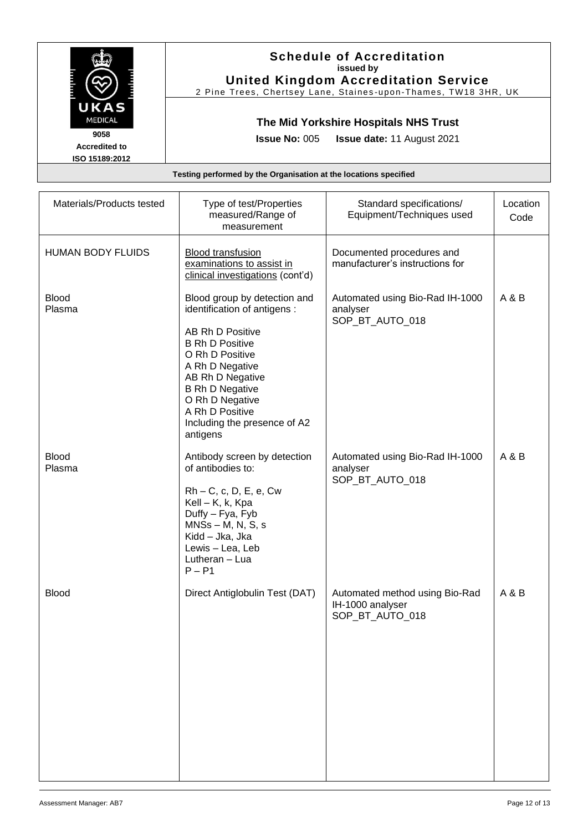|                                                | <b>Schedule of Accreditation</b><br>issued by<br><b>United Kingdom Accreditation Service</b><br>2 Pine Trees, Chertsey Lane, Staines-upon-Thames, TW18 3HR, UK |
|------------------------------------------------|----------------------------------------------------------------------------------------------------------------------------------------------------------------|
| UKAS<br><b>MEDICAL</b>                         | The Mid Yorkshire Hospitals NHS Trust                                                                                                                          |
| 9058<br><b>Accredited to</b><br>ISO 15189:2012 | <b>Issue No: 005 Issue date: 11 August 2021</b>                                                                                                                |
|                                                | Testing performed by the Organisation at the locations specified                                                                                               |

| Materials/Products tested | Type of test/Properties<br>measured/Range of<br>measurement                                                                                                                                                                                                                      | Standard specifications/<br>Equipment/Techniques used                 | Location<br>Code |
|---------------------------|----------------------------------------------------------------------------------------------------------------------------------------------------------------------------------------------------------------------------------------------------------------------------------|-----------------------------------------------------------------------|------------------|
| <b>HUMAN BODY FLUIDS</b>  | <b>Blood transfusion</b><br>examinations to assist in<br>clinical investigations (cont'd)                                                                                                                                                                                        | Documented procedures and<br>manufacturer's instructions for          |                  |
| <b>Blood</b><br>Plasma    | Blood group by detection and<br>identification of antigens :<br>AB Rh D Positive<br><b>B Rh D Positive</b><br>O Rh D Positive<br>A Rh D Negative<br>AB Rh D Negative<br><b>B Rh D Negative</b><br>O Rh D Negative<br>A Rh D Positive<br>Including the presence of A2<br>antigens | Automated using Bio-Rad IH-1000<br>analyser<br>SOP_BT_AUTO_018        | A & B            |
| <b>Blood</b><br>Plasma    | Antibody screen by detection<br>of antibodies to:<br>$Rh - C$ , c, D, E, e, Cw<br>Kell - K, k, Kpa<br>Duffy - Fya, Fyb<br>$MNSs - M, N, S, s$<br>Kidd - Jka, Jka<br>Lewis - Lea, Leb<br>Lutheran - Lua<br>$P - P1$                                                               | Automated using Bio-Rad IH-1000<br>analyser<br>SOP_BT_AUTO_018        | A & B            |
| <b>Blood</b>              | Direct Antiglobulin Test (DAT)                                                                                                                                                                                                                                                   | Automated method using Bio-Rad<br>IH-1000 analyser<br>SOP_BT_AUTO_018 | A & B            |